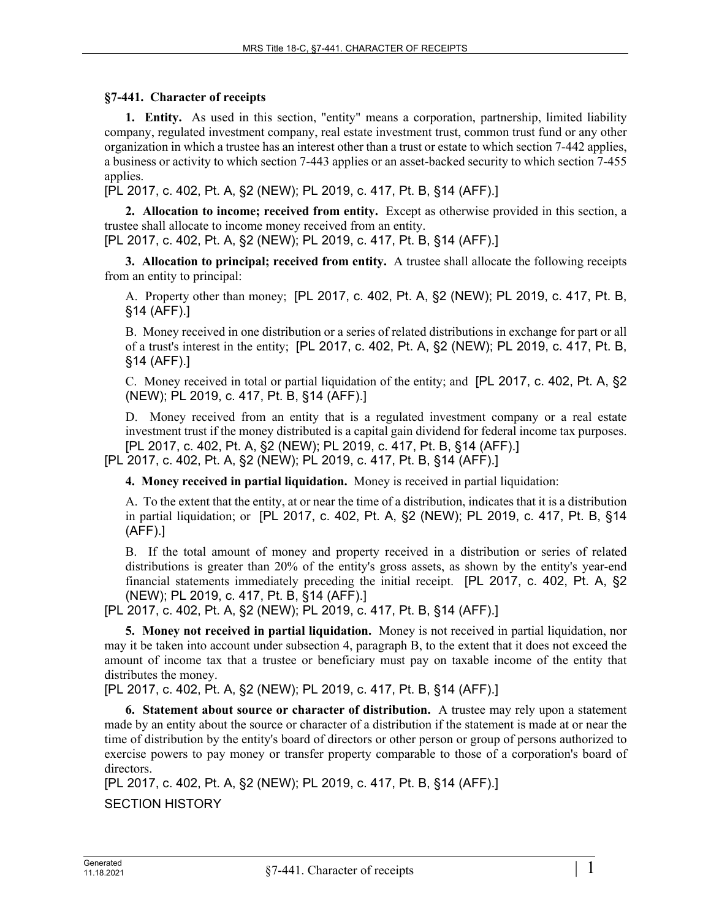## **§7-441. Character of receipts**

**1. Entity.** As used in this section, "entity" means a corporation, partnership, limited liability company, regulated investment company, real estate investment trust, common trust fund or any other organization in which a trustee has an interest other than a trust or estate to which section 7-442 applies, a business or activity to which section 7-443 applies or an asset-backed security to which section 7-455 applies.

[PL 2017, c. 402, Pt. A, §2 (NEW); PL 2019, c. 417, Pt. B, §14 (AFF).]

**2. Allocation to income; received from entity.** Except as otherwise provided in this section, a trustee shall allocate to income money received from an entity.

[PL 2017, c. 402, Pt. A, §2 (NEW); PL 2019, c. 417, Pt. B, §14 (AFF).]

**3. Allocation to principal; received from entity.** A trustee shall allocate the following receipts from an entity to principal:

A. Property other than money; [PL 2017, c. 402, Pt. A, §2 (NEW); PL 2019, c. 417, Pt. B, §14 (AFF).]

B. Money received in one distribution or a series of related distributions in exchange for part or all of a trust's interest in the entity; [PL 2017, c. 402, Pt. A, §2 (NEW); PL 2019, c. 417, Pt. B, §14 (AFF).]

C. Money received in total or partial liquidation of the entity; and [PL 2017, c. 402, Pt. A, §2 (NEW); PL 2019, c. 417, Pt. B, §14 (AFF).]

D. Money received from an entity that is a regulated investment company or a real estate investment trust if the money distributed is a capital gain dividend for federal income tax purposes. [PL 2017, c. 402, Pt. A, §2 (NEW); PL 2019, c. 417, Pt. B, §14 (AFF).]

[PL 2017, c. 402, Pt. A, §2 (NEW); PL 2019, c. 417, Pt. B, §14 (AFF).]

**4. Money received in partial liquidation.** Money is received in partial liquidation:

A. To the extent that the entity, at or near the time of a distribution, indicates that it is a distribution in partial liquidation; or [PL 2017, c. 402, Pt. A, §2 (NEW); PL 2019, c. 417, Pt. B, §14 (AFF).]

B. If the total amount of money and property received in a distribution or series of related distributions is greater than 20% of the entity's gross assets, as shown by the entity's year-end financial statements immediately preceding the initial receipt. [PL 2017, c. 402, Pt. A, §2 (NEW); PL 2019, c. 417, Pt. B, §14 (AFF).]

[PL 2017, c. 402, Pt. A, §2 (NEW); PL 2019, c. 417, Pt. B, §14 (AFF).]

**5. Money not received in partial liquidation.** Money is not received in partial liquidation, nor may it be taken into account under subsection 4, paragraph B, to the extent that it does not exceed the amount of income tax that a trustee or beneficiary must pay on taxable income of the entity that distributes the money.

[PL 2017, c. 402, Pt. A, §2 (NEW); PL 2019, c. 417, Pt. B, §14 (AFF).]

**6. Statement about source or character of distribution.** A trustee may rely upon a statement made by an entity about the source or character of a distribution if the statement is made at or near the time of distribution by the entity's board of directors or other person or group of persons authorized to exercise powers to pay money or transfer property comparable to those of a corporation's board of directors.

[PL 2017, c. 402, Pt. A, §2 (NEW); PL 2019, c. 417, Pt. B, §14 (AFF).]

SECTION HISTORY